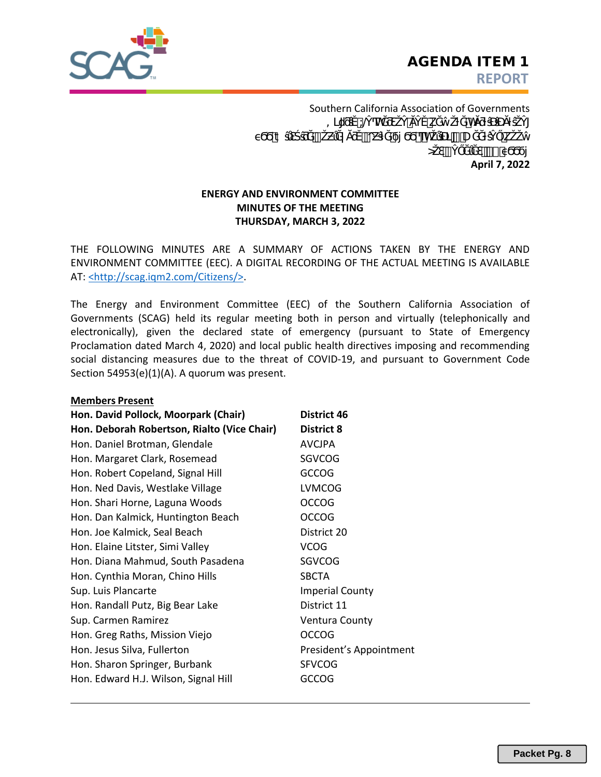

**April 7, 2022** Southern California Association of Governments  $\circ$   $\ast$   $\cdot$ ΰς εναιτικής της αποτελλασίας στη αναπηγού της αναπηγού από τη καταστικής της πολύ της πολύ της πολύ της πολύ = @h kh

# **ENERGY AND ENVIRONMENT COMMITTEE MINUTES OF THE MEETING THURSDAY, MARCH 3, 2022**

THE FOLLOWING MINUTES ARE A SUMMARY OF ACTIONS TAKEN BY THE ENERGY AND ENVIRONMENT COMMITTEE (EEC). A DIGITAL RECORDING OF THE ACTUAL MEETING IS AVAILABLE AT: <http://scag.iqm2.com/Citizens/>.

The Energy and Environment Committee (EEC) of the Southern California Association of Governments (SCAG) held its regular meeting both in person and virtually (telephonically and electronically), given the declared state of emergency (pursuant to State of Emergency Proclamation dated March 4, 2020) and local public health directives imposing and recommending social distancing measures due to the threat of COVID-19, and pursuant to Government Code Section 54953(e)(1)(A). A quorum was present.

| <b>Members Present</b>                      |                         |
|---------------------------------------------|-------------------------|
| Hon. David Pollock, Moorpark (Chair)        | District 46             |
| Hon. Deborah Robertson, Rialto (Vice Chair) | <b>District 8</b>       |
| Hon. Daniel Brotman, Glendale               | <b>AVCJPA</b>           |
| Hon. Margaret Clark, Rosemead               | <b>SGVCOG</b>           |
| Hon. Robert Copeland, Signal Hill           | <b>GCCOG</b>            |
| Hon. Ned Davis, Westlake Village            | <b>LVMCOG</b>           |
| Hon. Shari Horne, Laguna Woods              | <b>OCCOG</b>            |
| Hon. Dan Kalmick, Huntington Beach          | <b>OCCOG</b>            |
| Hon. Joe Kalmick, Seal Beach                | District 20             |
| Hon. Elaine Litster, Simi Valley            | <b>VCOG</b>             |
| Hon. Diana Mahmud, South Pasadena           | <b>SGVCOG</b>           |
| Hon. Cynthia Moran, Chino Hills             | <b>SBCTA</b>            |
| Sup. Luis Plancarte                         | <b>Imperial County</b>  |
| Hon. Randall Putz, Big Bear Lake            | District 11             |
| Sup. Carmen Ramirez                         | <b>Ventura County</b>   |
| Hon. Greg Raths, Mission Viejo              | <b>OCCOG</b>            |
| Hon. Jesus Silva, Fullerton                 | President's Appointment |
| Hon. Sharon Springer, Burbank               | <b>SFVCOG</b>           |
| Hon. Edward H.J. Wilson, Signal Hill        | <b>GCCOG</b>            |
|                                             |                         |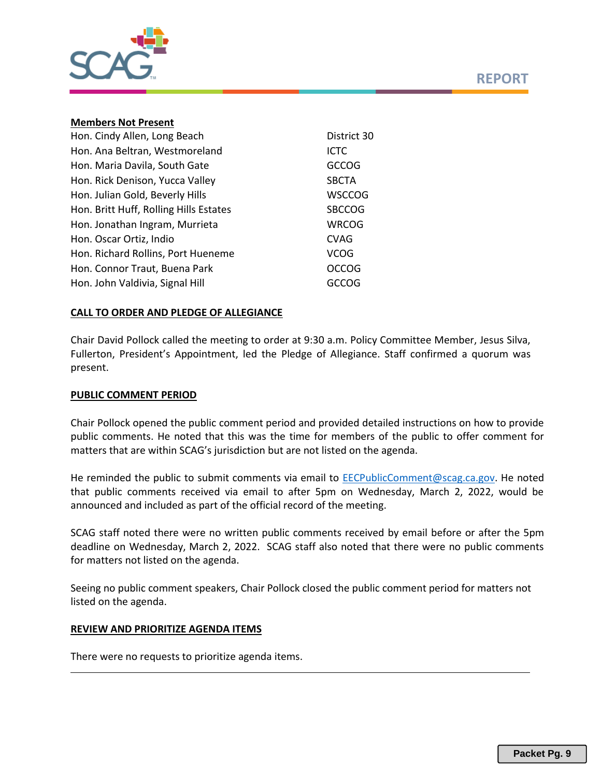



#### **Members Not Present**

| Hon. Cindy Allen, Long Beach           | District 30   |
|----------------------------------------|---------------|
| Hon. Ana Beltran, Westmoreland         | <b>ICTC</b>   |
| Hon. Maria Davila, South Gate          | <b>GCCOG</b>  |
| Hon. Rick Denison, Yucca Valley        | <b>SBCTA</b>  |
| Hon. Julian Gold, Beverly Hills        | <b>WSCCOG</b> |
| Hon. Britt Huff, Rolling Hills Estates | <b>SBCCOG</b> |
| Hon. Jonathan Ingram, Murrieta         | <b>WRCOG</b>  |
| Hon. Oscar Ortiz, Indio                | <b>CVAG</b>   |
| Hon. Richard Rollins, Port Hueneme     | <b>VCOG</b>   |
| Hon. Connor Traut, Buena Park          | <b>OCCOG</b>  |
| Hon. John Valdivia, Signal Hill        | <b>GCCOG</b>  |

# **CALL TO ORDER AND PLEDGE OF ALLEGIANCE**

Chair David Pollock called the meeting to order at 9:30 a.m. Policy Committee Member, Jesus Silva, Fullerton, President's Appointment, led the Pledge of Allegiance. Staff confirmed a quorum was present.

#### **PUBLIC COMMENT PERIOD**

Chair Pollock opened the public comment period and provided detailed instructions on how to provide public comments. He noted that this was the time for members of the public to offer comment for matters that are within SCAG's jurisdiction but are not listed on the agenda.

He reminded the public to submit comments via email to [EECPublicComment@scag.ca.gov.](mailto:EECPublicComment@scag.ca.gov) He noted that public comments received via email to after 5pm on Wednesday, March 2, 2022, would be announced and included as part of the official record of the meeting.

SCAG staff noted there were no written public comments received by email before or after the 5pm deadline on Wednesday, March 2, 2022. SCAG staff also noted that there were no public comments for matters not listed on the agenda.

Seeing no public comment speakers, Chair Pollock closed the public comment period for matters not listed on the agenda.

# **REVIEW AND PRIORITIZE AGENDA ITEMS**

There were no requests to prioritize agenda items.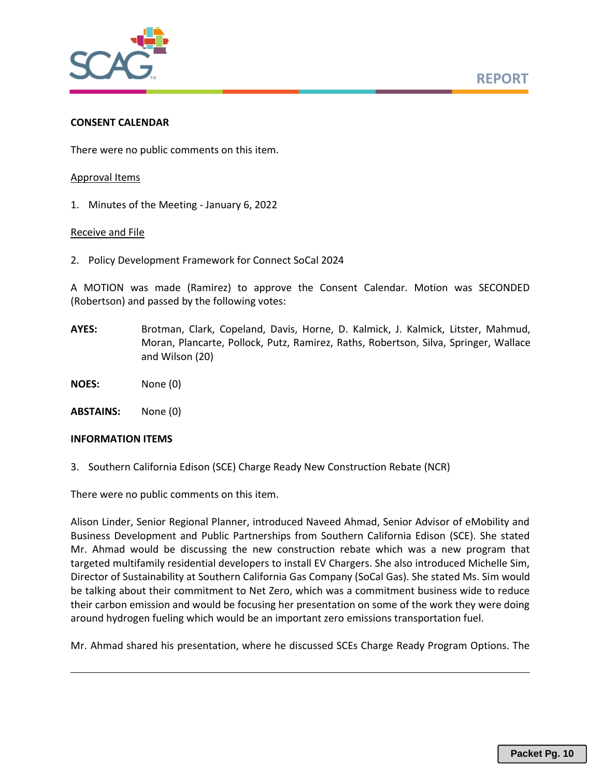

### **CONSENT CALENDAR**

There were no public comments on this item.

### Approval Items

1. Minutes of the Meeting - January 6, 2022

### Receive and File

2. Policy Development Framework for Connect SoCal 2024

A MOTION was made (Ramirez) to approve the Consent Calendar. Motion was SECONDED (Robertson) and passed by the following votes:

- **AYES:** Brotman, Clark, Copeland, Davis, Horne, D. Kalmick, J. Kalmick, Litster, Mahmud, Moran, Plancarte, Pollock, Putz, Ramirez, Raths, Robertson, Silva, Springer, Wallace and Wilson (20)
- **NOES:** None (0)

**ABSTAINS:** None (0)

### **INFORMATION ITEMS**

3. Southern California Edison (SCE) Charge Ready New Construction Rebate (NCR)

There were no public comments on this item.

Alison Linder, Senior Regional Planner, introduced Naveed Ahmad, Senior Advisor of eMobility and Business Development and Public Partnerships from Southern California Edison (SCE). She stated Mr. Ahmad would be discussing the new construction rebate which was a new program that targeted multifamily residential developers to install EV Chargers. She also introduced Michelle Sim, Director of Sustainability at Southern California Gas Company (SoCal Gas). She stated Ms. Sim would be talking about their commitment to Net Zero, which was a commitment business wide to reduce their carbon emission and would be focusing her presentation on some of the work they were doing around hydrogen fueling which would be an important zero emissions transportation fuel.

Mr. Ahmad shared his presentation, where he discussed SCEs Charge Ready Program Options. The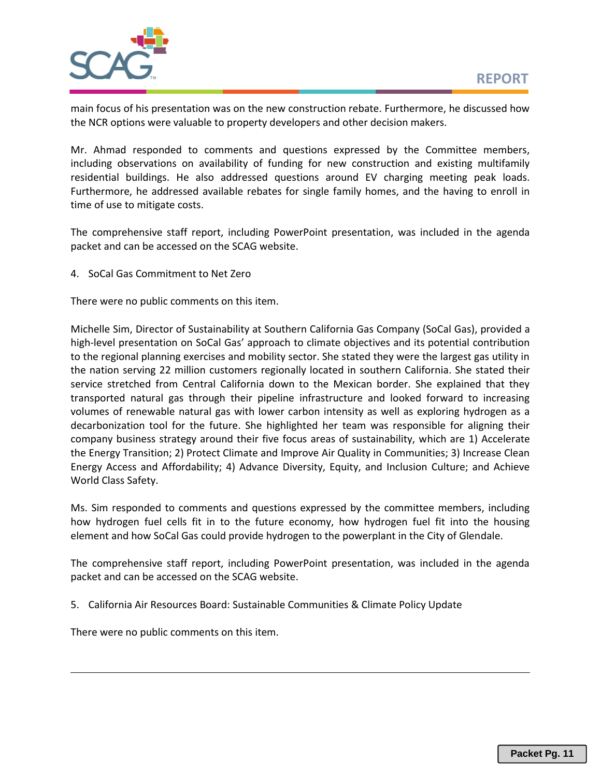

main focus of his presentation was on the new construction rebate. Furthermore, he discussed how the NCR options were valuable to property developers and other decision makers.

Mr. Ahmad responded to comments and questions expressed by the Committee members, including observations on availability of funding for new construction and existing multifamily residential buildings. He also addressed questions around EV charging meeting peak loads. Furthermore, he addressed available rebates for single family homes, and the having to enroll in time of use to mitigate costs.

The comprehensive staff report, including PowerPoint presentation, was included in the agenda packet and can be accessed on the SCAG website.

4. SoCal Gas Commitment to Net Zero

There were no public comments on this item.

Michelle Sim, Director of Sustainability at Southern California Gas Company (SoCal Gas), provided a high-level presentation on SoCal Gas' approach to climate objectives and its potential contribution to the regional planning exercises and mobility sector. She stated they were the largest gas utility in the nation serving 22 million customers regionally located in southern California. She stated their service stretched from Central California down to the Mexican border. She explained that they transported natural gas through their pipeline infrastructure and looked forward to increasing volumes of renewable natural gas with lower carbon intensity as well as exploring hydrogen as a decarbonization tool for the future. She highlighted her team was responsible for aligning their company business strategy around their five focus areas of sustainability, which are 1) Accelerate the Energy Transition; 2) Protect Climate and Improve Air Quality in Communities; 3) Increase Clean Energy Access and Affordability; 4) Advance Diversity, Equity, and Inclusion Culture; and Achieve World Class Safety.

Ms. Sim responded to comments and questions expressed by the committee members, including how hydrogen fuel cells fit in to the future economy, how hydrogen fuel fit into the housing element and how SoCal Gas could provide hydrogen to the powerplant in the City of Glendale.

The comprehensive staff report, including PowerPoint presentation, was included in the agenda packet and can be accessed on the SCAG website.

5. California Air Resources Board: Sustainable Communities & Climate Policy Update

There were no public comments on this item.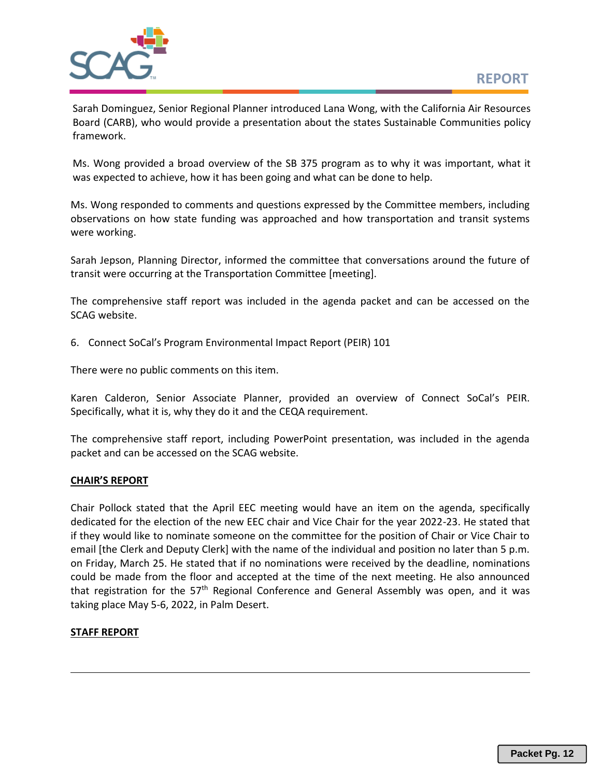

Sarah Dominguez, Senior Regional Planner introduced Lana Wong, with the California Air Resources Board (CARB), who would provide a presentation about the states Sustainable Communities policy framework.

Ms. Wong provided a broad overview of the SB 375 program as to why it was important, what it was expected to achieve, how it has been going and what can be done to help.

Ms. Wong responded to comments and questions expressed by the Committee members, including observations on how state funding was approached and how transportation and transit systems were working.

Sarah Jepson, Planning Director, informed the committee that conversations around the future of transit were occurring at the Transportation Committee [meeting].

The comprehensive staff report was included in the agenda packet and can be accessed on the SCAG website.

6. Connect SoCal's Program Environmental Impact Report (PEIR) 101

There were no public comments on this item.

Karen Calderon, Senior Associate Planner, provided an overview of Connect SoCal's PEIR. Specifically, what it is, why they do it and the CEQA requirement.

The comprehensive staff report, including PowerPoint presentation, was included in the agenda packet and can be accessed on the SCAG website.

# **CHAIR'S REPORT**

Chair Pollock stated that the April EEC meeting would have an item on the agenda, specifically dedicated for the election of the new EEC chair and Vice Chair for the year 2022-23. He stated that if they would like to nominate someone on the committee for the position of Chair or Vice Chair to email [the Clerk and Deputy Clerk] with the name of the individual and position no later than 5 p.m. on Friday, March 25. He stated that if no nominations were received by the deadline, nominations could be made from the floor and accepted at the time of the next meeting. He also announced that registration for the 57<sup>th</sup> Regional Conference and General Assembly was open, and it was taking place May 5-6, 2022, in Palm Desert.

# **STAFF REPORT**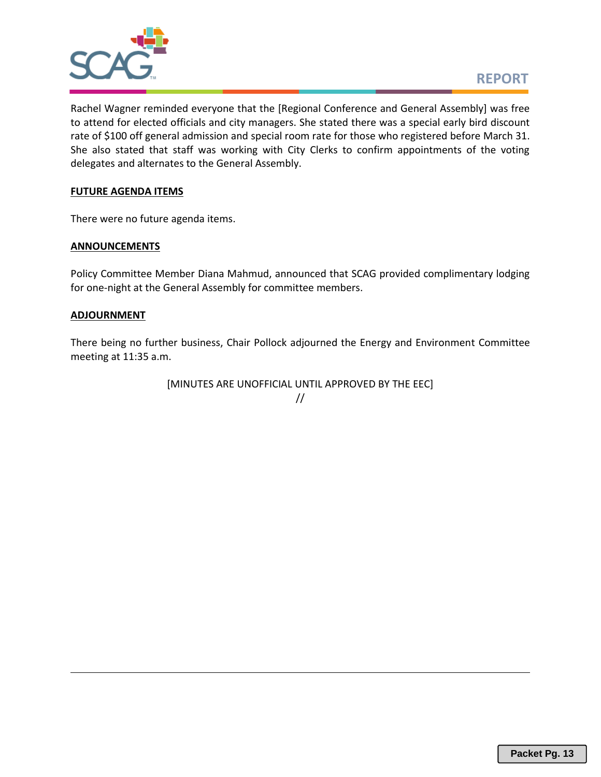

Rachel Wagner reminded everyone that the [Regional Conference and General Assembly] was free to attend for elected officials and city managers. She stated there was a special early bird discount rate of \$100 off general admission and special room rate for those who registered before March 31. She also stated that staff was working with City Clerks to confirm appointments of the voting delegates and alternates to the General Assembly.

# **FUTURE AGENDA ITEMS**

There were no future agenda items.

# **ANNOUNCEMENTS**

Policy Committee Member Diana Mahmud, announced that SCAG provided complimentary lodging for one-night at the General Assembly for committee members.

# **ADJOURNMENT**

There being no further business, Chair Pollock adjourned the Energy and Environment Committee meeting at 11:35 a.m.

> [MINUTES ARE UNOFFICIAL UNTIL APPROVED BY THE EEC] //